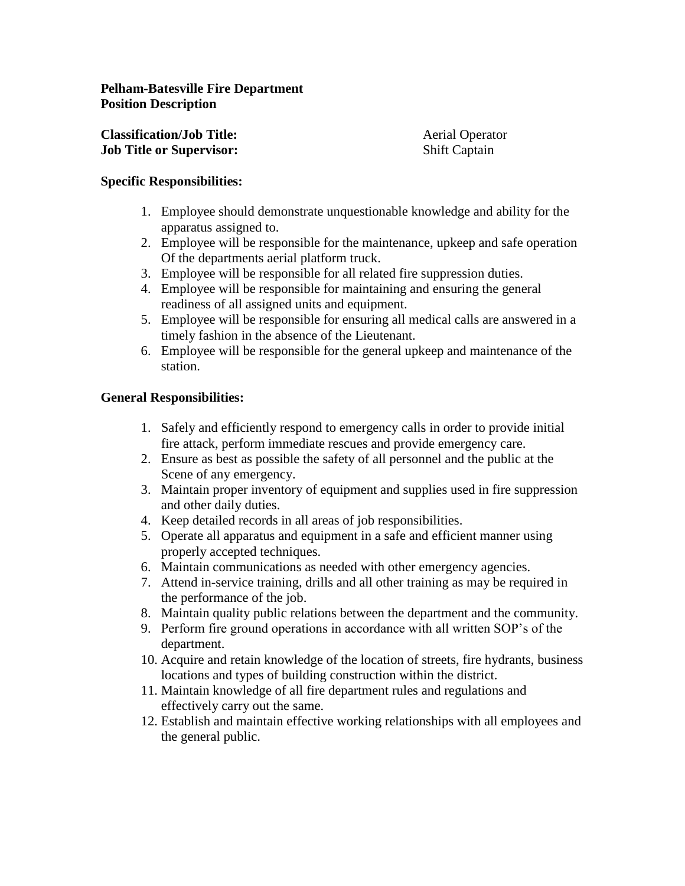| <b>Classification/Job Title:</b> | <b>Aerial Operator</b> |
|----------------------------------|------------------------|
| <b>Job Title or Supervisor:</b>  | <b>Shift Captain</b>   |

## **Specific Responsibilities:**

- 1. Employee should demonstrate unquestionable knowledge and ability for the apparatus assigned to.
- 2. Employee will be responsible for the maintenance, upkeep and safe operation Of the departments aerial platform truck.
- 3. Employee will be responsible for all related fire suppression duties.
- 4. Employee will be responsible for maintaining and ensuring the general readiness of all assigned units and equipment.
- 5. Employee will be responsible for ensuring all medical calls are answered in a timely fashion in the absence of the Lieutenant.
- 6. Employee will be responsible for the general upkeep and maintenance of the station.

# **General Responsibilities:**

- 1. Safely and efficiently respond to emergency calls in order to provide initial fire attack, perform immediate rescues and provide emergency care.
- 2. Ensure as best as possible the safety of all personnel and the public at the Scene of any emergency.
- 3. Maintain proper inventory of equipment and supplies used in fire suppression and other daily duties.
- 4. Keep detailed records in all areas of job responsibilities.
- 5. Operate all apparatus and equipment in a safe and efficient manner using properly accepted techniques.
- 6. Maintain communications as needed with other emergency agencies.
- 7. Attend in-service training, drills and all other training as may be required in the performance of the job.
- 8. Maintain quality public relations between the department and the community.
- 9. Perform fire ground operations in accordance with all written SOP's of the department.
- 10. Acquire and retain knowledge of the location of streets, fire hydrants, business locations and types of building construction within the district.
- 11. Maintain knowledge of all fire department rules and regulations and effectively carry out the same.
- 12. Establish and maintain effective working relationships with all employees and the general public.